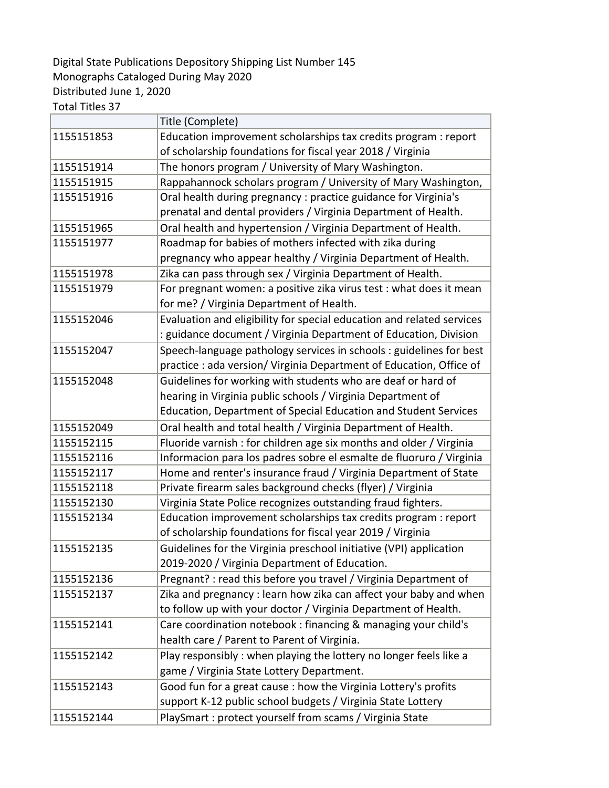## Digital State Publications Depository Shipping List Number 145 Monographs Cataloged During May 2020 Distributed June 1, 2020

Total Titles 37

|            | Title (Complete)                                                      |
|------------|-----------------------------------------------------------------------|
| 1155151853 | Education improvement scholarships tax credits program : report       |
|            | of scholarship foundations for fiscal year 2018 / Virginia            |
| 1155151914 | The honors program / University of Mary Washington.                   |
| 1155151915 | Rappahannock scholars program / University of Mary Washington,        |
| 1155151916 | Oral health during pregnancy : practice guidance for Virginia's       |
|            | prenatal and dental providers / Virginia Department of Health.        |
| 1155151965 | Oral health and hypertension / Virginia Department of Health.         |
| 1155151977 | Roadmap for babies of mothers infected with zika during               |
|            | pregnancy who appear healthy / Virginia Department of Health.         |
| 1155151978 | Zika can pass through sex / Virginia Department of Health.            |
| 1155151979 | For pregnant women: a positive zika virus test : what does it mean    |
|            | for me? / Virginia Department of Health.                              |
| 1155152046 | Evaluation and eligibility for special education and related services |
|            | : guidance document / Virginia Department of Education, Division      |
| 1155152047 | Speech-language pathology services in schools : guidelines for best   |
|            | practice : ada version/ Virginia Department of Education, Office of   |
| 1155152048 | Guidelines for working with students who are deaf or hard of          |
|            | hearing in Virginia public schools / Virginia Department of           |
|            | Education, Department of Special Education and Student Services       |
| 1155152049 | Oral health and total health / Virginia Department of Health.         |
| 1155152115 | Fluoride varnish: for children age six months and older / Virginia    |
| 1155152116 | Informacion para los padres sobre el esmalte de fluoruro / Virginia   |
| 1155152117 | Home and renter's insurance fraud / Virginia Department of State      |
| 1155152118 | Private firearm sales background checks (flyer) / Virginia            |
| 1155152130 | Virginia State Police recognizes outstanding fraud fighters.          |
| 1155152134 | Education improvement scholarships tax credits program : report       |
|            | of scholarship foundations for fiscal year 2019 / Virginia            |
| 1155152135 | Guidelines for the Virginia preschool initiative (VPI) application    |
|            | 2019-2020 / Virginia Department of Education.                         |
| 1155152136 | Pregnant? : read this before you travel / Virginia Department of      |
| 1155152137 | Zika and pregnancy: learn how zika can affect your baby and when      |
|            | to follow up with your doctor / Virginia Department of Health.        |
| 1155152141 | Care coordination notebook: financing & managing your child's         |
|            | health care / Parent to Parent of Virginia.                           |
| 1155152142 | Play responsibly : when playing the lottery no longer feels like a    |
|            | game / Virginia State Lottery Department.                             |
| 1155152143 | Good fun for a great cause : how the Virginia Lottery's profits       |
|            | support K-12 public school budgets / Virginia State Lottery           |
| 1155152144 | PlaySmart : protect yourself from scams / Virginia State              |